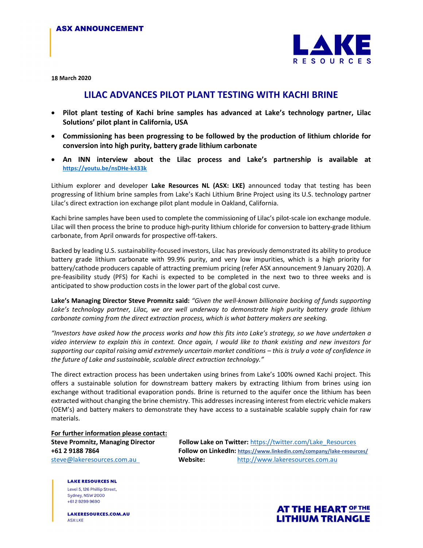

18 March 2020

## LILAC ADVANCES PILOT PLANT TESTING WITH KACHI BRINE

- Pilot plant testing of Kachi brine samples has advanced at Lake's technology partner, Lilac Solutions' pilot plant in California, USA
- Commissioning has been progressing to be followed by the production of lithium chloride for conversion into high purity, battery grade lithium carbonate
- An INN interview about the Lilac process and Lake's partnership is available at https://youtu.be/nsDHe-k433k

Lithium explorer and developer Lake Resources NL (ASX: LKE) announced today that testing has been progressing of lithium brine samples from Lake's Kachi Lithium Brine Project using its U.S. technology partner Lilac's direct extraction ion exchange pilot plant module in Oakland, California.

Kachi brine samples have been used to complete the commissioning of Lilac's pilot-scale ion exchange module. Lilac will then process the brine to produce high-purity lithium chloride for conversion to battery-grade lithium carbonate, from April onwards for prospective off-takers.

Backed by leading U.S. sustainability-focused investors, Lilac has previously demonstrated its ability to produce battery grade lithium carbonate with 99.9% purity, and very low impurities, which is a high priority for battery/cathode producers capable of attracting premium pricing (refer ASX announcement 9 January 2020). A pre-feasibility study (PFS) for Kachi is expected to be completed in the next two to three weeks and is anticipated to show production costs in the lower part of the global cost curve.

Lake's Managing Director Steve Promnitz said: "Given the well-known billionaire backing of funds supporting Lake's technology partner, Lilac, we are well underway to demonstrate high purity battery grade lithium carbonate coming from the direct extraction process, which is what battery makers are seeking.

"Investors have asked how the process works and how this fits into Lake's strategy, so we have undertaken a video interview to explain this in context. Once again, I would like to thank existing and new investors for supporting our capital raising amid extremely uncertain market conditions – this is truly a vote of confidence in the future of Lake and sustainable, scalable direct extraction technology."

The direct extraction process has been undertaken using brines from Lake's 100% owned Kachi project. This offers a sustainable solution for downstream battery makers by extracting lithium from brines using ion exchange without traditional evaporation ponds. Brine is returned to the aquifer once the lithium has been extracted without changing the brine chemistry. This addresses increasing interest from electric vehicle makers (OEM's) and battery makers to demonstrate they have access to a sustainable scalable supply chain for raw materials.

For further information please contact:

Steve Promnitz, Managing Director Follow Lake on Twitter: https://twitter.com/Lake\_Resources +61 2 9188 7864 Follow on LinkedIn: https://www.linkedin.com/company/lake-resources/ steve@lakeresources.com.au Website: http://www.lakeresources.com.au

**LAKE RESOURCES NL** Level 5, 126 Phillip Street, Sydney, NSW 2000 +61292999690

LAKERESOURCES.COM.AU **ASX:LKE**